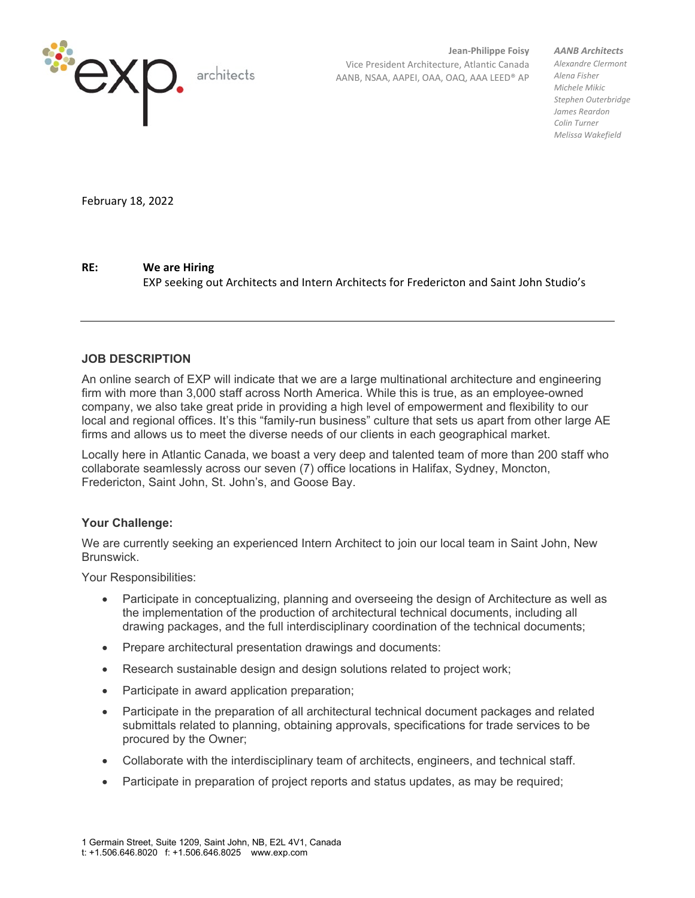

**Jean-Philippe Foisy** Vice President Architecture, Atlantic Canada AANB, NSAA, AAPEI, OAA, OAQ, AAA LEED® AP *AANB Architects*

*Alexandre Clermont Alena Fisher Michele Mikic Stephen Outerbridge James Reardon Colin Turner Melissa Wakefield*

February 18, 2022

## **RE: We are Hiring**

EXP seeking out Architects and Intern Architects for Fredericton and Saint John Studio's

## **JOB DESCRIPTION**

An online search of EXP will indicate that we are a large multinational architecture and engineering firm with more than 3,000 staff across North America. While this is true, as an employee-owned company, we also take great pride in providing a high level of empowerment and flexibility to our local and regional offices. It's this "family-run business" culture that sets us apart from other large AE firms and allows us to meet the diverse needs of our clients in each geographical market.

Locally here in Atlantic Canada, we boast a very deep and talented team of more than 200 staff who collaborate seamlessly across our seven (7) office locations in Halifax, Sydney, Moncton, Fredericton, Saint John, St. John's, and Goose Bay.

## **Your Challenge:**

We are currently seeking an experienced Intern Architect to join our local team in Saint John, New Brunswick.

Your Responsibilities:

- Participate in conceptualizing, planning and overseeing the design of Architecture as well as the implementation of the production of architectural technical documents, including all drawing packages, and the full interdisciplinary coordination of the technical documents;
- Prepare architectural presentation drawings and documents:
- Research sustainable design and design solutions related to project work;
- Participate in award application preparation;
- Participate in the preparation of all architectural technical document packages and related submittals related to planning, obtaining approvals, specifications for trade services to be procured by the Owner;
- Collaborate with the interdisciplinary team of architects, engineers, and technical staff.
- Participate in preparation of project reports and status updates, as may be required;